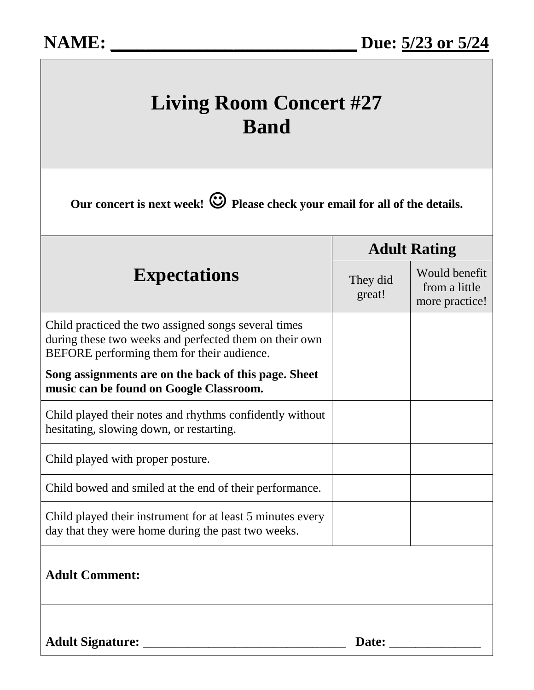| <b>Living Room Concert #27</b><br><b>Band</b><br>Our concert is next week! $\bigcirc$ Please check your email for all of the details.                        |                                                  |  |
|--------------------------------------------------------------------------------------------------------------------------------------------------------------|--------------------------------------------------|--|
|                                                                                                                                                              |                                                  |  |
| They did<br>great!                                                                                                                                           | Would benefit<br>from a little<br>more practice! |  |
| Child practiced the two assigned songs several times<br>during these two weeks and perfected them on their own<br>BEFORE performing them for their audience. |                                                  |  |
| Song assignments are on the back of this page. Sheet<br>music can be found on Google Classroom.                                                              |                                                  |  |
| Child played their notes and rhythms confidently without<br>hesitating, slowing down, or restarting.                                                         |                                                  |  |
| Child played with proper posture.                                                                                                                            |                                                  |  |
| Child bowed and smiled at the end of their performance.                                                                                                      |                                                  |  |
| Child played their instrument for at least 5 minutes every<br>day that they were home during the past two weeks.                                             |                                                  |  |
| <b>Adult Comment:</b>                                                                                                                                        |                                                  |  |
| <b>Adult Signature:</b>                                                                                                                                      | Date:                                            |  |